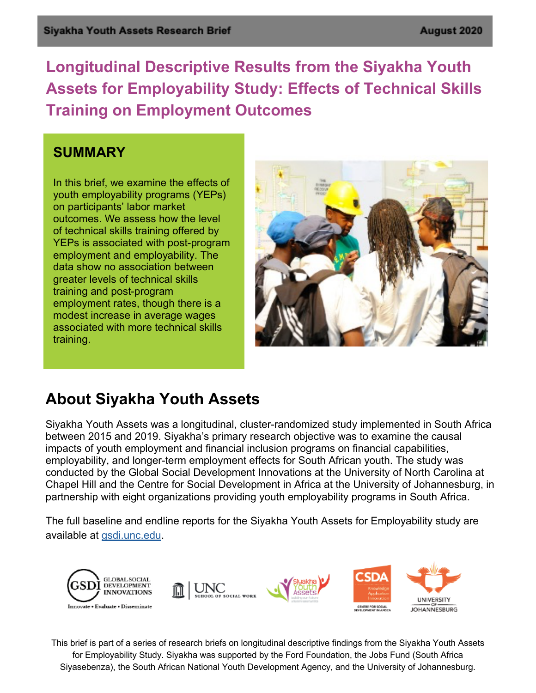**Longitudinal Descriptive Results from the Siyakha Youth Assets for Employability Study: Effects of Technical Skills Training on Employment Outcomes**

#### **SUMMARY**

In this brief, we examine the effects of youth employability programs (YEPs) on participants' labor market outcomes. We assess how the level of technical skills training offered by YEPs is associated with post-program employment and employability. The data show no association between greater levels of technical skills training and post-program employment rates, though there is a modest increase in average wages associated with more technical skills training.



## **About Siyakha Youth Assets**

Siyakha Youth Assets was a longitudinal, cluster-randomized study implemented in South Africa between 2015 and 2019. Siyakha's primary research objective was to examine the causal impacts of youth employment and financial inclusion programs on financial capabilities, employability, and longer-term employment effects for South African youth. The study was conducted by the Global Social Development Innovations at the University of North Carolina at Chapel Hill and the Centre for Social Development in Africa at the University of Johannesburg, in partnership with eight organizations providing youth employability programs in South Africa.

The full baseline and endline reports for the Siyakha Youth Assets for Employability study are available at gsdi.unc.edu.



This brief is part of a series of research briefs on longitudinal descriptive findings from the Siyakha Youth Assets for Employability Study. Siyakha was supported by the Ford Foundation, the Jobs Fund (South Africa Siyasebenza), the South African National Youth Development Agency, and the University of Johannesburg.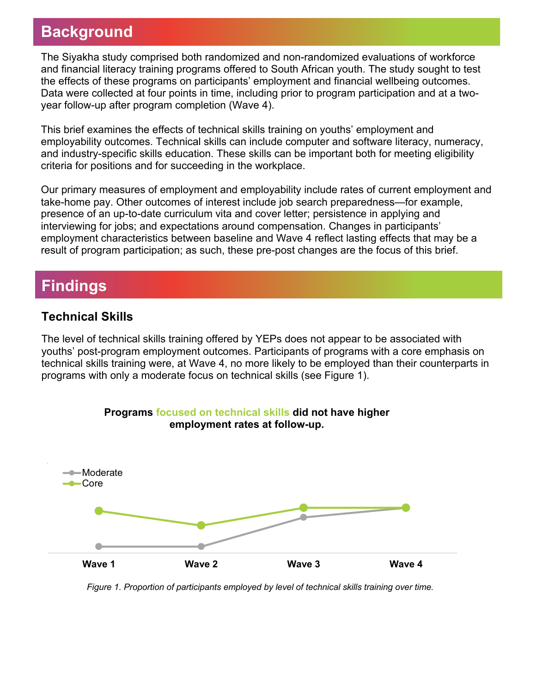# **Background**

The Siyakha study comprised both randomized and non-randomized evaluations of workforce and financial literacy training programs offered to South African youth. The study sought to test the effects of these programs on participants' employment and financial wellbeing outcomes. Data were collected at four points in time, including prior to program participation and at a twoyear follow-up after program completion (Wave 4).

This brief examines the effects of technical skills training on youths' employment and employability outcomes. Technical skills can include computer and software literacy, numeracy, and industry-specific skills education. These skills can be important both for meeting eligibility criteria for positions and for succeeding in the workplace.

Our primary measures of employment and employability include rates of current employment and take-home pay. Other outcomes of interest include job search preparedness—for example, presence of an up-to-date curriculum vita and cover letter; persistence in applying and interviewing for jobs; and expectations around compensation. Changes in participants' employment characteristics between baseline and Wave 4 reflect lasting effects that may be a result of program participation; as such, these pre-post changes are the focus of this brief.

## **Findings**

#### **Technical Skills**

The level of technical skills training offered by YEPs does not appear to be associated with youths' post-program employment outcomes. Participants of programs with a core emphasis on technical skills training were, at Wave 4, no more likely to be employed than their counterparts in programs with only a moderate focus on technical skills (see Figure 1).



*Figure 1. Proportion of participants employed by level of technical skills training over time.*